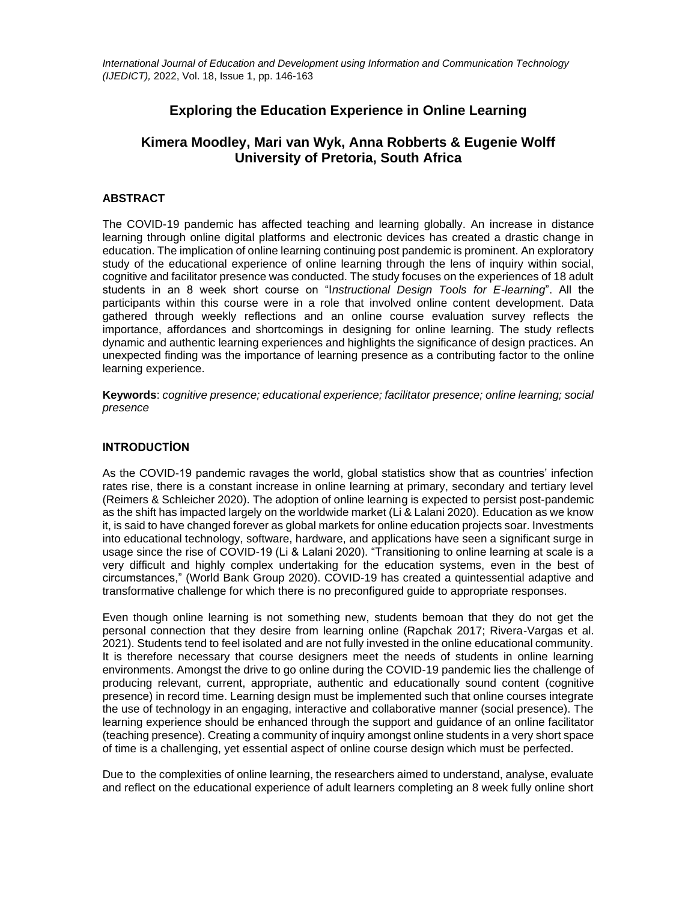*International Journal of Education and Development using Information and Communication Technology (IJEDICT),* 2022, Vol. 18, Issue 1, pp. 146-163

# **Exploring the Education Experience in Online Learning**

# **Kimera Moodley, Mari van Wyk, Anna Robberts & Eugenie Wolff University of Pretoria, South Africa**

### **ABSTRACT**

The COVID-19 pandemic has affected teaching and learning globally. An increase in distance learning through online digital platforms and electronic devices has created a drastic change in education. The implication of online learning continuing post pandemic is prominent. An exploratory study of the educational experience of online learning through the lens of inquiry within social, cognitive and facilitator presence was conducted. The study focuses on the experiences of 18 adult students in an 8 week short course on "I*nstructional Design Tools for E-learning*". All the participants within this course were in a role that involved online content development. Data gathered through weekly reflections and an online course evaluation survey reflects the importance, affordances and shortcomings in designing for online learning. The study reflects dynamic and authentic learning experiences and highlights the significance of design practices. An unexpected finding was the importance of learning presence as a contributing factor to the online learning experience.

**Keywords**: *cognitive presence; educational experience; facilitator presence; online learning; social presence*

## **INTRODUCTİON**

As the COVID-19 pandemic ravages the world, global statistics show that as countries' infection rates rise, there is a constant increase in online learning at primary, secondary and tertiary level (Reimers & Schleicher 2020). The adoption of online learning is expected to persist post-pandemic as the shift has impacted largely on the worldwide market (Li & Lalani 2020). Education as we know it, is said to have changed forever as global markets for online education projects soar. Investments into educational technology, software, hardware, and applications have seen a significant surge in usage since the rise of COVID-19 (Li & Lalani 2020). "Transitioning to online learning at scale is a very difficult and highly complex undertaking for the education systems, even in the best of circumstances," (World Bank Group 2020). COVID-19 has created a quintessential adaptive and transformative challenge for which there is no preconfigured guide to appropriate responses.

Even though online learning is not something new, students bemoan that they do not get the personal connection that they desire from learning online (Rapchak 2017; Rivera-Vargas et al. 2021). Students tend to feel isolated and are not fully invested in the online educational community. It is therefore necessary that course designers meet the needs of students in online learning environments. Amongst the drive to go online during the COVID-19 pandemic lies the challenge of producing relevant, current, appropriate, authentic and educationally sound content (cognitive presence) in record time. Learning design must be implemented such that online courses integrate the use of technology in an engaging, interactive and collaborative manner (social presence). The learning experience should be enhanced through the support and guidance of an online facilitator (teaching presence). Creating a community of inquiry amongst online students in a very short space of time is a challenging, yet essential aspect of online course design which must be perfected.

Due to the complexities of online learning, the researchers aimed to understand, analyse, evaluate and reflect on the educational experience of adult learners completing an 8 week fully online short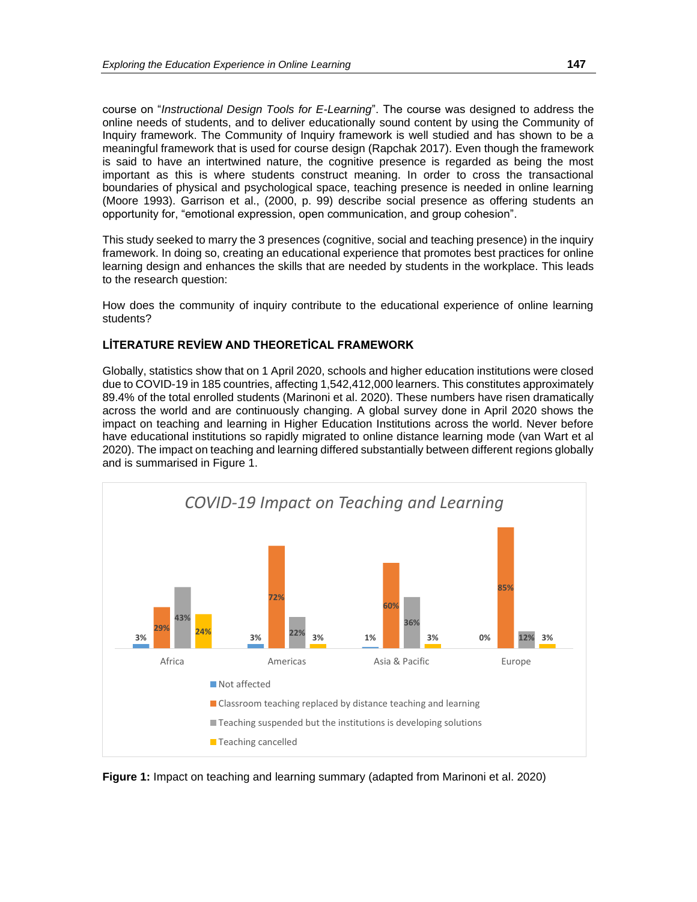course on "*Instructional Design Tools for E-Learning*". The course was designed to address the online needs of students, and to deliver educationally sound content by using the Community of Inquiry framework. The Community of Inquiry framework is well studied and has shown to be a meaningful framework that is used for course design (Rapchak 2017). Even though the framework is said to have an intertwined nature, the cognitive presence is regarded as being the most important as this is where students construct meaning. In order to cross the transactional boundaries of physical and psychological space, teaching presence is needed in online learning (Moore 1993). Garrison et al., (2000, p. 99) describe social presence as offering students an opportunity for, "emotional expression, open communication, and group cohesion".

This study seeked to marry the 3 presences (cognitive, social and teaching presence) in the inquiry framework. In doing so, creating an educational experience that promotes best practices for online learning design and enhances the skills that are needed by students in the workplace. This leads to the research question:

How does the community of inquiry contribute to the educational experience of online learning students?

## **LİTERATURE REVİEW AND THEORETİCAL FRAMEWORK**

Globally, statistics show that on 1 April 2020, schools and higher education institutions were closed due to COVID-19 in 185 countries, affecting 1,542,412,000 learners. This constitutes approximately 89.4% of the total enrolled students (Marinoni et al. 2020). These numbers have risen dramatically across the world and are continuously changing. A global survey done in April 2020 shows the impact on teaching and learning in Higher Education Institutions across the world. Never before have educational institutions so rapidly migrated to online distance learning mode (van Wart et al 2020). The impact on teaching and learning differed substantially between different regions globally and is summarised in Figure 1.



**Figure 1:** Impact on teaching and learning summary (adapted from Marinoni et al. 2020)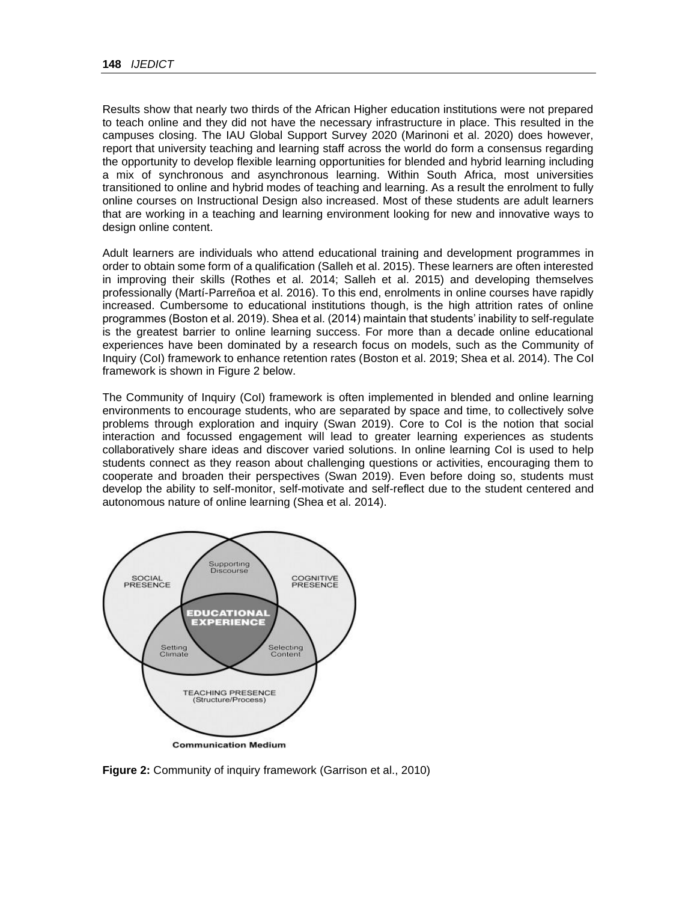Results show that nearly two thirds of the African Higher education institutions were not prepared to teach online and they did not have the necessary infrastructure in place. This resulted in the campuses closing. The IAU Global Support Survey 2020 (Marinoni et al. 2020) does however, report that university teaching and learning staff across the world do form a consensus regarding the opportunity to develop flexible learning opportunities for blended and hybrid learning including a mix of synchronous and asynchronous learning. Within South Africa, most universities transitioned to online and hybrid modes of teaching and learning. As a result the enrolment to fully online courses on Instructional Design also increased. Most of these students are adult learners that are working in a teaching and learning environment looking for new and innovative ways to design online content.

Adult learners are individuals who attend educational training and development programmes in order to obtain some form of a qualification (Salleh et al. 2015). These learners are often interested in improving their skills (Rothes et al. 2014; Salleh et al. 2015) and developing themselves professionally (Martí-Parreñoa et al. 2016). To this end, enrolments in online courses have rapidly increased. Cumbersome to educational institutions though, is the high attrition rates of online programmes (Boston et al. 2019). Shea et al. (2014) maintain that students' inability to self-regulate is the greatest barrier to online learning success. For more than a decade online educational experiences have been dominated by a research focus on models, such as the Community of Inquiry (CoI) framework to enhance retention rates (Boston et al. 2019; Shea et al. 2014). The CoI framework is shown in Figure 2 below.

The Community of Inquiry (CoI) framework is often implemented in blended and online learning environments to encourage students, who are separated by space and time, to collectively solve problems through exploration and inquiry (Swan 2019). Core to CoI is the notion that social interaction and focussed engagement will lead to greater learning experiences as students collaboratively share ideas and discover varied solutions. In online learning CoI is used to help students connect as they reason about challenging questions or activities, encouraging them to cooperate and broaden their perspectives (Swan 2019). Even before doing so, students must develop the ability to self-monitor, self-motivate and self-reflect due to the student centered and autonomous nature of online learning (Shea et al. 2014).



**Figure 2:** Community of inquiry framework (Garrison et al., 2010)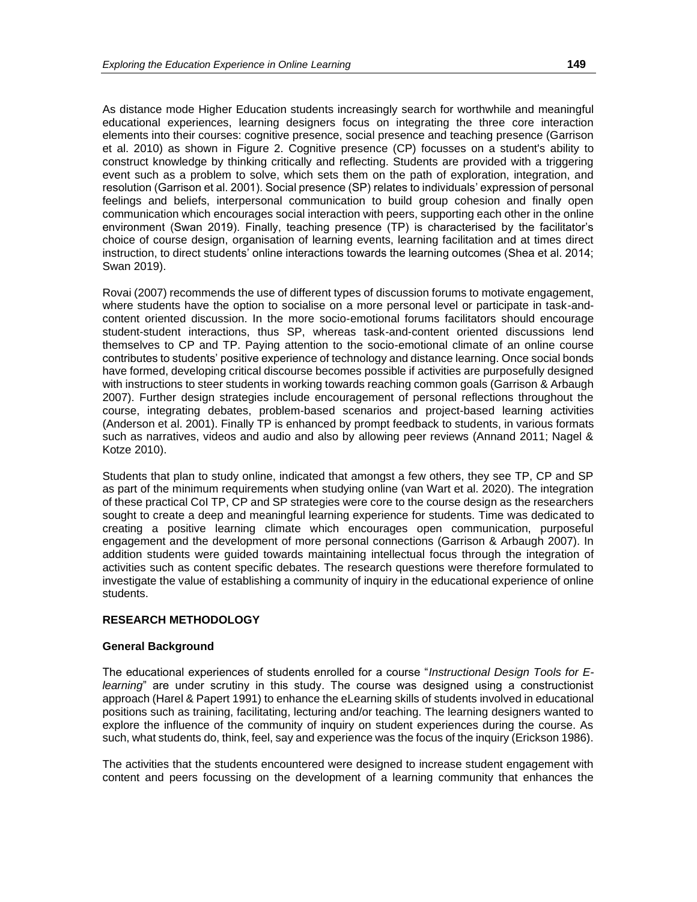As distance mode Higher Education students increasingly search for worthwhile and meaningful educational experiences, learning designers focus on integrating the three core interaction elements into their courses: cognitive presence, social presence and teaching presence (Garrison et al. 2010) as shown in Figure 2. Cognitive presence (CP) focusses on a student's ability to construct knowledge by thinking critically and reflecting. Students are provided with a triggering event such as a problem to solve, which sets them on the path of exploration, integration, and resolution (Garrison et al. 2001). Social presence (SP) relates to individuals' expression of personal feelings and beliefs, interpersonal communication to build group cohesion and finally open communication which encourages social interaction with peers, supporting each other in the online environment (Swan 2019). Finally, teaching presence (TP) is characterised by the facilitator's choice of course design, organisation of learning events, learning facilitation and at times direct instruction, to direct students' online interactions towards the learning outcomes (Shea et al. 2014; Swan 2019).

Rovai (2007) recommends the use of different types of discussion forums to motivate engagement, where students have the option to socialise on a more personal level or participate in task-andcontent oriented discussion. In the more socio-emotional forums facilitators should encourage student-student interactions, thus SP, whereas task-and-content oriented discussions lend themselves to CP and TP. Paying attention to the socio-emotional climate of an online course contributes to students' positive experience of technology and distance learning. Once social bonds have formed, developing critical discourse becomes possible if activities are purposefully designed with instructions to steer students in working towards reaching common goals (Garrison & Arbaugh 2007). Further design strategies include encouragement of personal reflections throughout the course, integrating debates, problem-based scenarios and project-based learning activities (Anderson et al. 2001). Finally TP is enhanced by prompt feedback to students, in various formats such as narratives, videos and audio and also by allowing peer reviews (Annand 2011; Nagel & Kotze 2010).

Students that plan to study online, indicated that amongst a few others, they see TP, CP and SP as part of the minimum requirements when studying online (van Wart et al. 2020). The integration of these practical CoI TP, CP and SP strategies were core to the course design as the researchers sought to create a deep and meaningful learning experience for students. Time was dedicated to creating a positive learning climate which encourages open communication, purposeful engagement and the development of more personal connections (Garrison & Arbaugh 2007). In addition students were guided towards maintaining intellectual focus through the integration of activities such as content specific debates. The research questions were therefore formulated to investigate the value of establishing a community of inquiry in the educational experience of online students.

#### **RESEARCH METHODOLOGY**

#### **General Background**

The educational experiences of students enrolled for a course "*Instructional Design Tools for Elearning*" are under scrutiny in this study. The course was designed using a constructionist approach (Harel & Papert 1991) to enhance the eLearning skills of students involved in educational positions such as training, facilitating, lecturing and/or teaching. The learning designers wanted to explore the influence of the community of inquiry on student experiences during the course. As such, what students do, think, feel, say and experience was the focus of the inquiry (Erickson 1986).

The activities that the students encountered were designed to increase student engagement with content and peers focussing on the development of a learning community that enhances the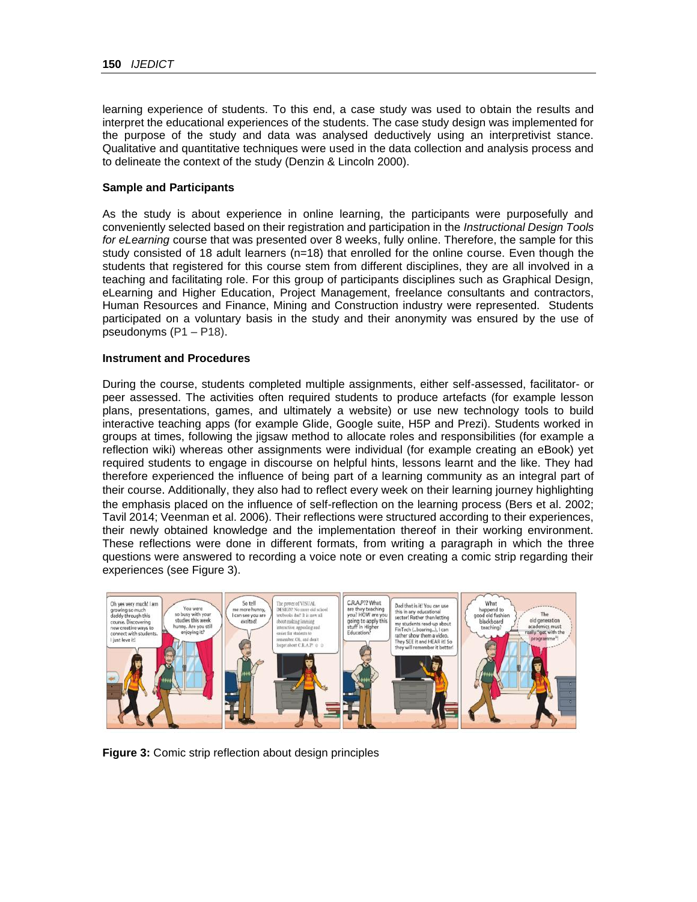learning experience of students. To this end, a case study was used to obtain the results and interpret the educational experiences of the students. The case study design was implemented for the purpose of the study and data was analysed deductively using an interpretivist stance. Qualitative and quantitative techniques were used in the data collection and analysis process and to delineate the context of the study (Denzin & Lincoln 2000).

#### **Sample and Participants**

As the study is about experience in online learning, the participants were purposefully and conveniently selected based on their registration and participation in the *Instructional Design Tools for eLearning* course that was presented over 8 weeks, fully online. Therefore, the sample for this study consisted of 18 adult learners  $(n=18)$  that enrolled for the online course. Even though the students that registered for this course stem from different disciplines, they are all involved in a teaching and facilitating role. For this group of participants disciplines such as Graphical Design, eLearning and Higher Education, Project Management, freelance consultants and contractors, Human Resources and Finance, Mining and Construction industry were represented. Students participated on a voluntary basis in the study and their anonymity was ensured by the use of pseudonyms (P1 – P18).

#### **Instrument and Procedures**

During the course, students completed multiple assignments, either self-assessed, facilitator- or peer assessed. The activities often required students to produce artefacts (for example lesson plans, presentations, games, and ultimately a website) or use new technology tools to build interactive teaching apps (for example Glide, Google suite, H5P and Prezi). Students worked in groups at times, following the jigsaw method to allocate roles and responsibilities (for example a reflection wiki) whereas other assignments were individual (for example creating an eBook) yet required students to engage in discourse on helpful hints, lessons learnt and the like. They had therefore experienced the influence of being part of a learning community as an integral part of their course. Additionally, they also had to reflect every week on their learning journey highlighting the emphasis placed on the influence of self-reflection on the learning process (Bers et al. 2002; Tavil 2014; Veenman et al. 2006). Their reflections were structured according to their experiences, their newly obtained knowledge and the implementation thereof in their working environment. These reflections were done in different formats, from writing a paragraph in which the three questions were answered to recording a voice note or even creating a comic strip regarding their experiences (see Figure 3).



**Figure 3:** Comic strip reflection about design principles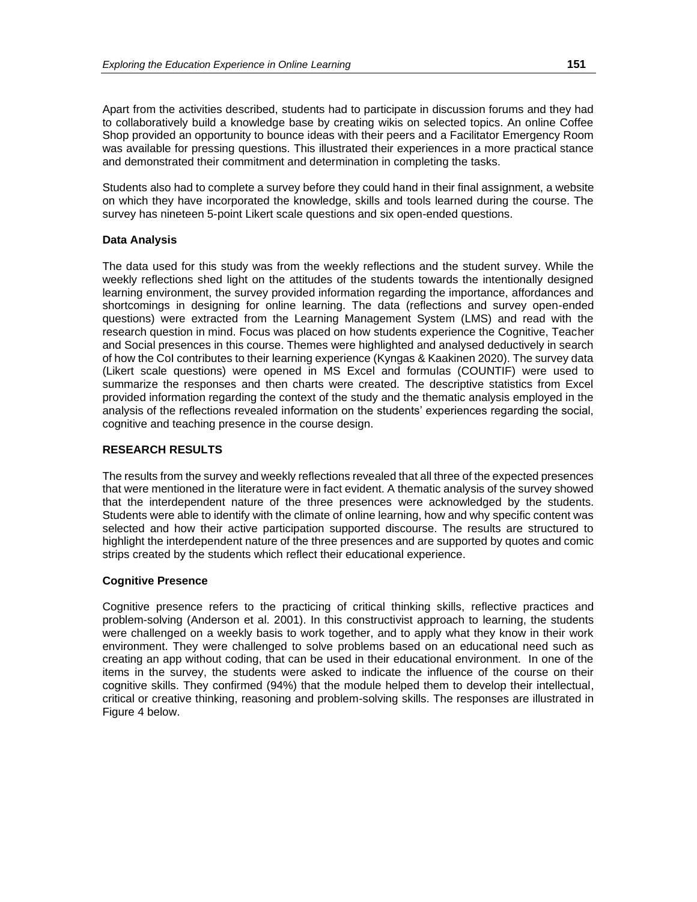Apart from the activities described, students had to participate in discussion forums and they had to collaboratively build a knowledge base by creating wikis on selected topics. An online Coffee Shop provided an opportunity to bounce ideas with their peers and a Facilitator Emergency Room was available for pressing questions. This illustrated their experiences in a more practical stance and demonstrated their commitment and determination in completing the tasks.

Students also had to complete a survey before they could hand in their final assignment, a website on which they have incorporated the knowledge, skills and tools learned during the course. The survey has nineteen 5-point Likert scale questions and six open-ended questions.

#### **Data Analysis**

The data used for this study was from the weekly reflections and the student survey. While the weekly reflections shed light on the attitudes of the students towards the intentionally designed learning environment, the survey provided information regarding the importance, affordances and shortcomings in designing for online learning. The data (reflections and survey open-ended questions) were extracted from the Learning Management System (LMS) and read with the research question in mind. Focus was placed on how students experience the Cognitive, Teacher and Social presences in this course. Themes were highlighted and analysed deductively in search of how the CoI contributes to their learning experience (Kyngas & Kaakinen 2020). The survey data (Likert scale questions) were opened in MS Excel and formulas (COUNTIF) were used to summarize the responses and then charts were created. The descriptive statistics from Excel provided information regarding the context of the study and the thematic analysis employed in the analysis of the reflections revealed information on the students' experiences regarding the social, cognitive and teaching presence in the course design.

#### **RESEARCH RESULTS**

The results from the survey and weekly reflections revealed that all three of the expected presences that were mentioned in the literature were in fact evident. A thematic analysis of the survey showed that the interdependent nature of the three presences were acknowledged by the students. Students were able to identify with the climate of online learning, how and why specific content was selected and how their active participation supported discourse. The results are structured to highlight the interdependent nature of the three presences and are supported by quotes and comic strips created by the students which reflect their educational experience.

#### **Cognitive Presence**

Cognitive presence refers to the practicing of critical thinking skills, reflective practices and problem-solving (Anderson et al. 2001). In this constructivist approach to learning, the students were challenged on a weekly basis to work together, and to apply what they know in their work environment. They were challenged to solve problems based on an educational need such as creating an app without coding, that can be used in their educational environment. In one of the items in the survey, the students were asked to indicate the influence of the course on their cognitive skills. They confirmed (94%) that the module helped them to develop their intellectual, critical or creative thinking, reasoning and problem-solving skills. The responses are illustrated in Figure 4 below.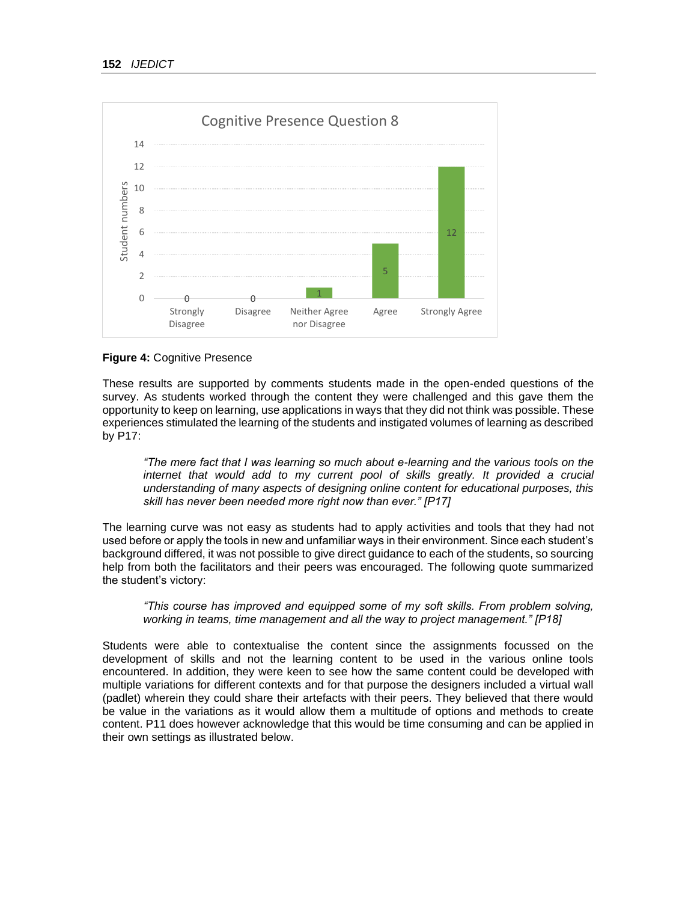

#### **Figure 4:** Cognitive Presence

These results are supported by comments students made in the open-ended questions of the survey. As students worked through the content they were challenged and this gave them the opportunity to keep on learning, use applications in ways that they did not think was possible. These experiences stimulated the learning of the students and instigated volumes of learning as described by P17:

*"The mere fact that I was learning so much about e-learning and the various tools on the*  internet that would add to my current pool of skills greatly. It provided a crucial *understanding of many aspects of designing online content for educational purposes, this skill has never been needed more right now than ever." [P17]*

The learning curve was not easy as students had to apply activities and tools that they had not used before or apply the tools in new and unfamiliar ways in their environment. Since each student's background differed, it was not possible to give direct guidance to each of the students, so sourcing help from both the facilitators and their peers was encouraged. The following quote summarized the student's victory:

#### *"This course has improved and equipped some of my soft skills. From problem solving, working in teams, time management and all the way to project management." [P18]*

Students were able to contextualise the content since the assignments focussed on the development of skills and not the learning content to be used in the various online tools encountered. In addition, they were keen to see how the same content could be developed with multiple variations for different contexts and for that purpose the designers included a virtual wall (padlet) wherein they could share their artefacts with their peers. They believed that there would be value in the variations as it would allow them a multitude of options and methods to create content. P11 does however acknowledge that this would be time consuming and can be applied in their own settings as illustrated below.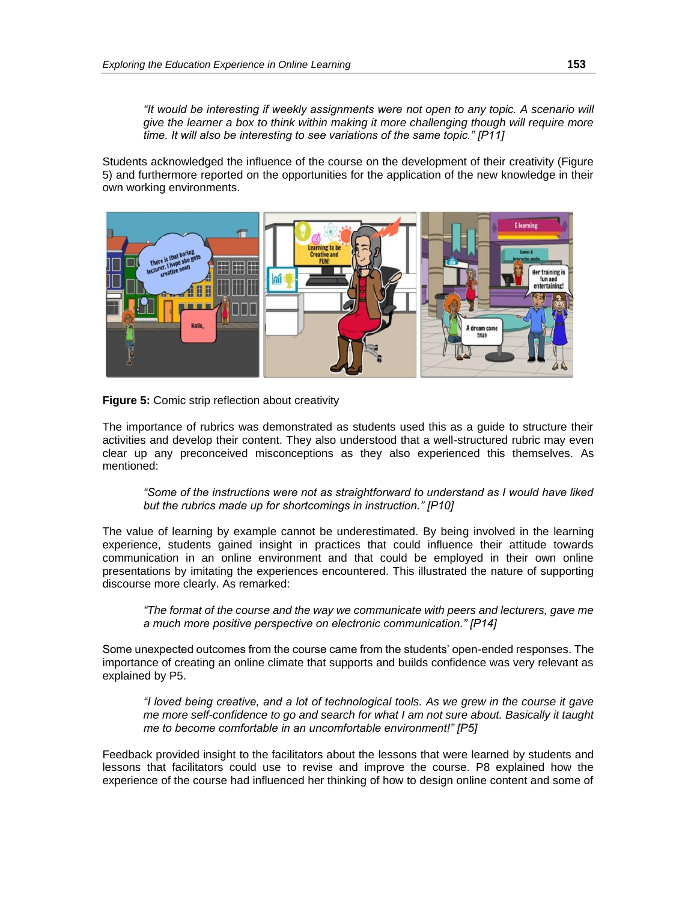*"It would be interesting if weekly assignments were not open to any topic. A scenario will give the learner a box to think within making it more challenging though will require more time. It will also be interesting to see variations of the same topic." [P11]*

Students acknowledged the influence of the course on the development of their creativity (Figure 5) and furthermore reported on the opportunities for the application of the new knowledge in their own working environments.



#### **Figure 5:** Comic strip reflection about creativity

The importance of rubrics was demonstrated as students used this as a guide to structure their activities and develop their content. They also understood that a well-structured rubric may even clear up any preconceived misconceptions as they also experienced this themselves. As mentioned:

*"Some of the instructions were not as straightforward to understand as I would have liked but the rubrics made up for shortcomings in instruction." [P10]*

The value of learning by example cannot be underestimated. By being involved in the learning experience, students gained insight in practices that could influence their attitude towards communication in an online environment and that could be employed in their own online presentations by imitating the experiences encountered. This illustrated the nature of supporting discourse more clearly. As remarked:

*"The format of the course and the way we communicate with peers and lecturers, gave me a much more positive perspective on electronic communication." [P14]*

Some unexpected outcomes from the course came from the students' open-ended responses. The importance of creating an online climate that supports and builds confidence was very relevant as explained by P5.

*"I loved being creative, and a lot of technological tools. As we grew in the course it gave me more self-confidence to go and search for what I am not sure about. Basically it taught me to become comfortable in an uncomfortable environment!" [P5]*

Feedback provided insight to the facilitators about the lessons that were learned by students and lessons that facilitators could use to revise and improve the course. P8 explained how the experience of the course had influenced her thinking of how to design online content and some of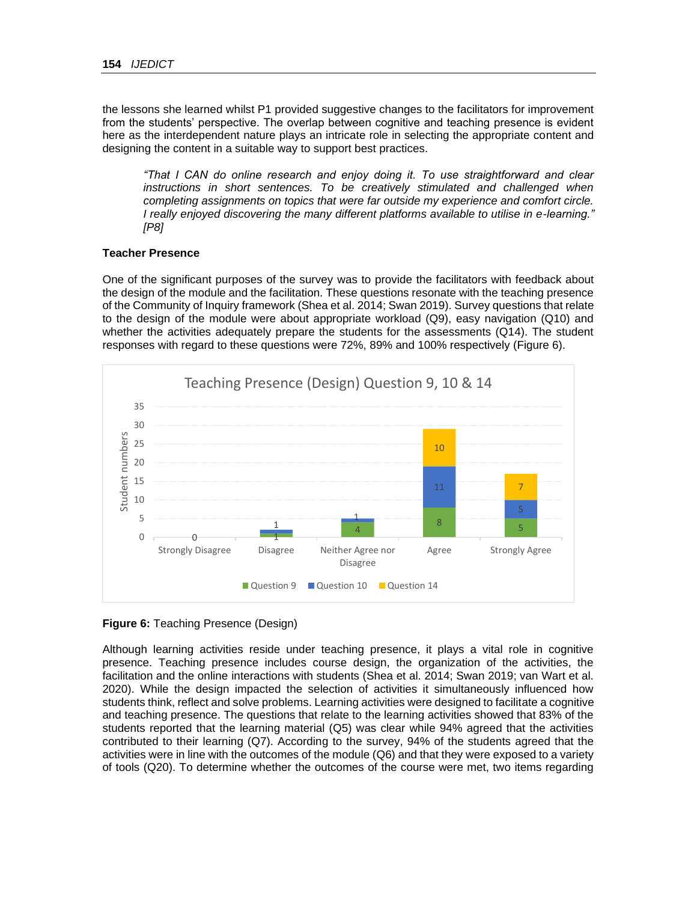the lessons she learned whilst P1 provided suggestive changes to the facilitators for improvement from the students' perspective. The overlap between cognitive and teaching presence is evident here as the interdependent nature plays an intricate role in selecting the appropriate content and designing the content in a suitable way to support best practices.

*"That I CAN do online research and enjoy doing it. To use straightforward and clear instructions in short sentences. To be creatively stimulated and challenged when completing assignments on topics that were far outside my experience and comfort circle. I really enjoyed discovering the many different platforms available to utilise in e-learning." [P8]*

#### **Teacher Presence**

One of the significant purposes of the survey was to provide the facilitators with feedback about the design of the module and the facilitation. These questions resonate with the teaching presence of the Community of Inquiry framework (Shea et al. 2014; Swan 2019). Survey questions that relate to the design of the module were about appropriate workload (Q9), easy navigation (Q10) and whether the activities adequately prepare the students for the assessments (Q14). The student responses with regard to these questions were 72%, 89% and 100% respectively (Figure 6).



**Figure 6:** Teaching Presence (Design)

Although learning activities reside under teaching presence, it plays a vital role in cognitive presence. Teaching presence includes course design, the organization of the activities, the facilitation and the online interactions with students (Shea et al. 2014; Swan 2019; van Wart et al. 2020). While the design impacted the selection of activities it simultaneously influenced how students think, reflect and solve problems. Learning activities were designed to facilitate a cognitive and teaching presence. The questions that relate to the learning activities showed that 83% of the students reported that the learning material (Q5) was clear while 94% agreed that the activities contributed to their learning (Q7). According to the survey, 94% of the students agreed that the activities were in line with the outcomes of the module (Q6) and that they were exposed to a variety of tools (Q20). To determine whether the outcomes of the course were met, two items regarding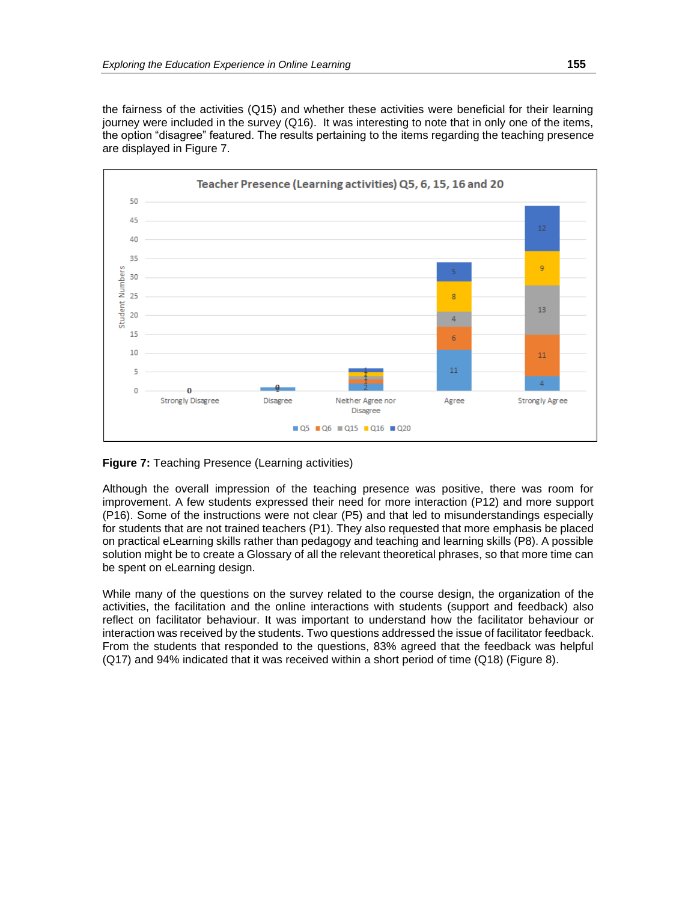the fairness of the activities (Q15) and whether these activities were beneficial for their learning journey were included in the survey (Q16). It was interesting to note that in only one of the items, the option "disagree" featured. The results pertaining to the items regarding the teaching presence are displayed in Figure 7.



**Figure 7:** Teaching Presence (Learning activities)

Although the overall impression of the teaching presence was positive, there was room for improvement. A few students expressed their need for more interaction (P12) and more support (P16). Some of the instructions were not clear (P5) and that led to misunderstandings especially for students that are not trained teachers (P1). They also requested that more emphasis be placed on practical eLearning skills rather than pedagogy and teaching and learning skills (P8). A possible solution might be to create a Glossary of all the relevant theoretical phrases, so that more time can be spent on eLearning design.

While many of the questions on the survey related to the course design, the organization of the activities, the facilitation and the online interactions with students (support and feedback) also reflect on facilitator behaviour. It was important to understand how the facilitator behaviour or interaction was received by the students. Two questions addressed the issue of facilitator feedback. From the students that responded to the questions, 83% agreed that the feedback was helpful (Q17) and 94% indicated that it was received within a short period of time (Q18) (Figure 8).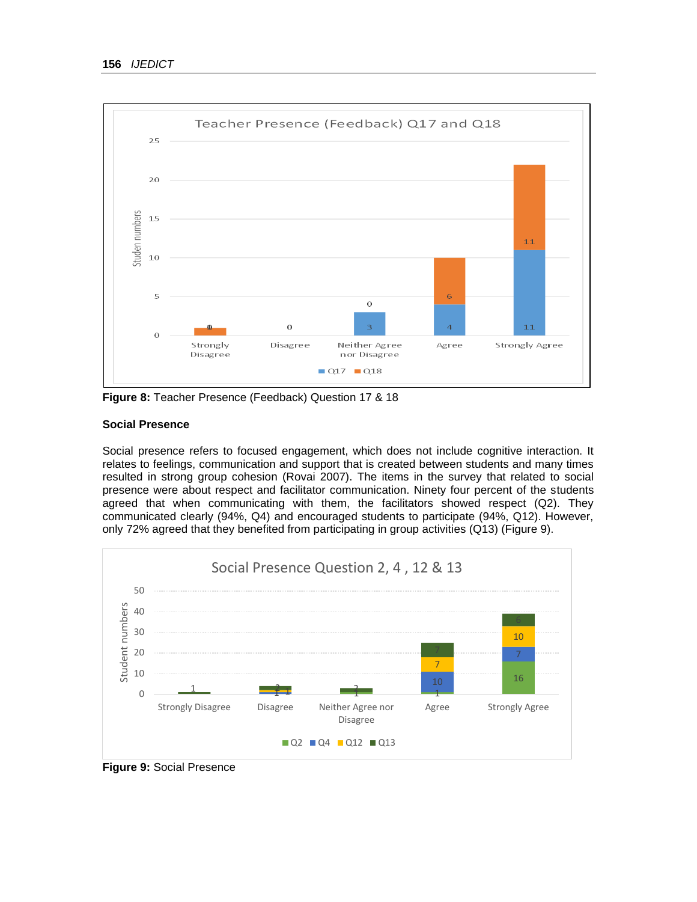

**Figure 8:** Teacher Presence (Feedback) Question 17 & 18

#### **Social Presence**

Social presence refers to focused engagement, which does not include cognitive interaction. It relates to feelings, communication and support that is created between students and many times resulted in strong group cohesion (Rovai 2007). The items in the survey that related to social presence were about respect and facilitator communication. Ninety four percent of the students agreed that when communicating with them, the facilitators showed respect (Q2). They communicated clearly (94%, Q4) and encouraged students to participate (94%, Q12). However, only 72% agreed that they benefited from participating in group activities (Q13) (Figure 9).



**Figure 9:** Social Presence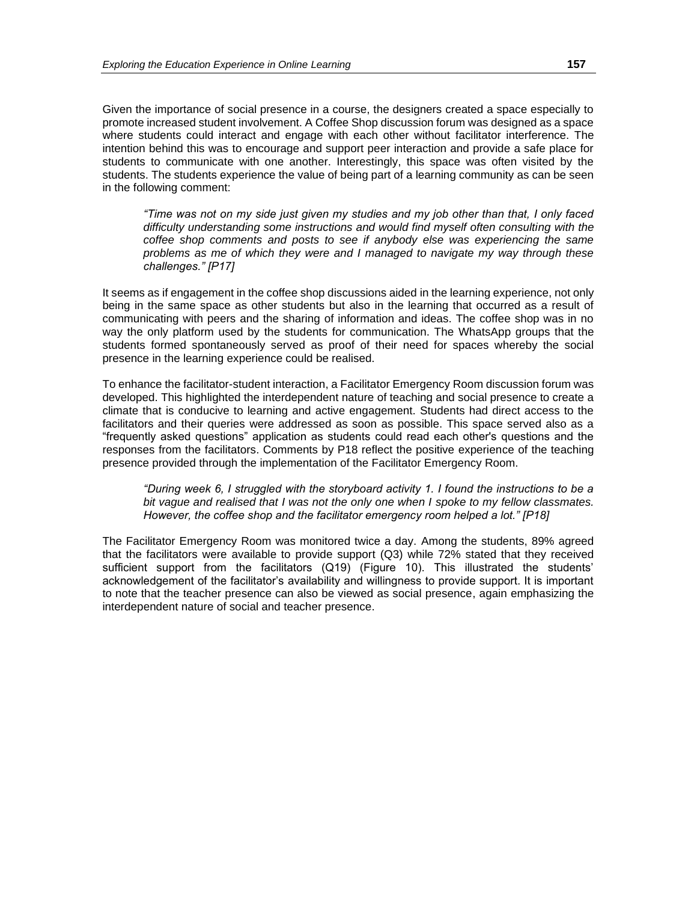Given the importance of social presence in a course, the designers created a space especially to promote increased student involvement. A Coffee Shop discussion forum was designed as a space where students could interact and engage with each other without facilitator interference. The intention behind this was to encourage and support peer interaction and provide a safe place for students to communicate with one another. Interestingly, this space was often visited by the students. The students experience the value of being part of a learning community as can be seen in the following comment:

*"Time was not on my side just given my studies and my job other than that, I only faced difficulty understanding some instructions and would find myself often consulting with the coffee shop comments and posts to see if anybody else was experiencing the same problems as me of which they were and I managed to navigate my way through these challenges." [P17]*

It seems as if engagement in the coffee shop discussions aided in the learning experience, not only being in the same space as other students but also in the learning that occurred as a result of communicating with peers and the sharing of information and ideas. The coffee shop was in no way the only platform used by the students for communication. The WhatsApp groups that the students formed spontaneously served as proof of their need for spaces whereby the social presence in the learning experience could be realised.

To enhance the facilitator-student interaction, a Facilitator Emergency Room discussion forum was developed. This highlighted the interdependent nature of teaching and social presence to create a climate that is conducive to learning and active engagement. Students had direct access to the facilitators and their queries were addressed as soon as possible. This space served also as a "frequently asked questions" application as students could read each other's questions and the responses from the facilitators. Comments by P18 reflect the positive experience of the teaching presence provided through the implementation of the Facilitator Emergency Room.

*"During week 6, I struggled with the storyboard activity 1. I found the instructions to be a bit vague and realised that I was not the only one when I spoke to my fellow classmates. However, the coffee shop and the facilitator emergency room helped a lot." [P18]*

The Facilitator Emergency Room was monitored twice a day. Among the students, 89% agreed that the facilitators were available to provide support (Q3) while 72% stated that they received sufficient support from the facilitators (Q19) (Figure 10). This illustrated the students' acknowledgement of the facilitator's availability and willingness to provide support. It is important to note that the teacher presence can also be viewed as social presence, again emphasizing the interdependent nature of social and teacher presence.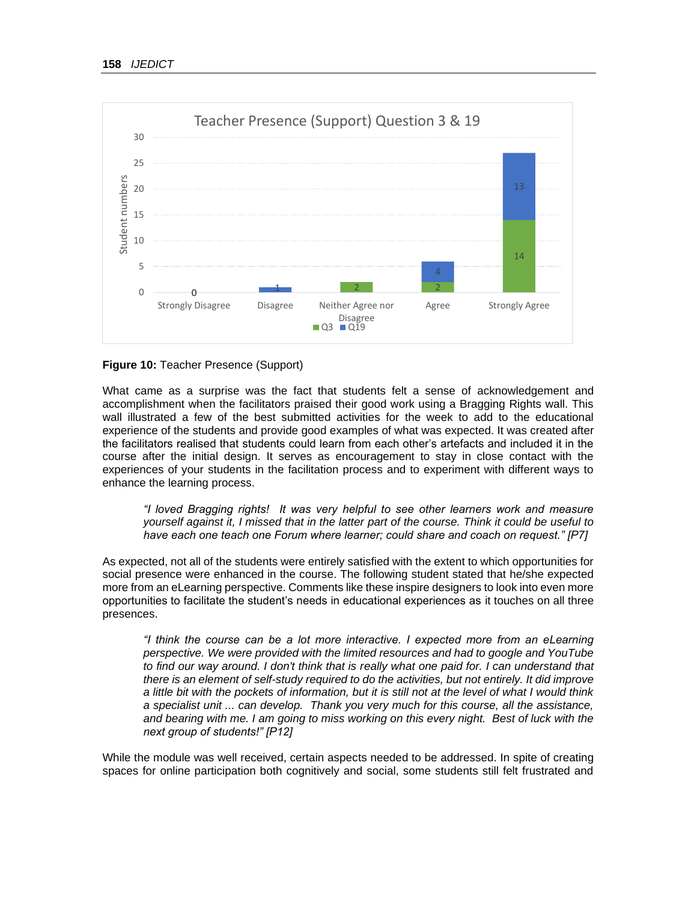

#### **Figure 10:** Teacher Presence (Support)

What came as a surprise was the fact that students felt a sense of acknowledgement and accomplishment when the facilitators praised their good work using a Bragging Rights wall. This wall illustrated a few of the best submitted activities for the week to add to the educational experience of the students and provide good examples of what was expected. It was created after the facilitators realised that students could learn from each other's artefacts and included it in the course after the initial design. It serves as encouragement to stay in close contact with the experiences of your students in the facilitation process and to experiment with different ways to enhance the learning process.

*"I loved Bragging rights! It was very helpful to see other learners work and measure yourself against it, I missed that in the latter part of the course. Think it could be useful to have each one teach one Forum where learner; could share and coach on request." [P7]* 

As expected, not all of the students were entirely satisfied with the extent to which opportunities for social presence were enhanced in the course. The following student stated that he/she expected more from an eLearning perspective. Comments like these inspire designers to look into even more opportunities to facilitate the student's needs in educational experiences as it touches on all three presences.

*"I think the course can be a lot more interactive. I expected more from an eLearning perspective. We were provided with the limited resources and had to google and YouTube*  to find our way around. I don't think that is really what one paid for. I can understand that *there is an element of self-study required to do the activities, but not entirely. It did improve a little bit with the pockets of information, but it is still not at the level of what I would think a specialist unit ... can develop. Thank you very much for this course, all the assistance, and bearing with me. I am going to miss working on this every night. Best of luck with the next group of students!" [P12]*

While the module was well received, certain aspects needed to be addressed. In spite of creating spaces for online participation both cognitively and social, some students still felt frustrated and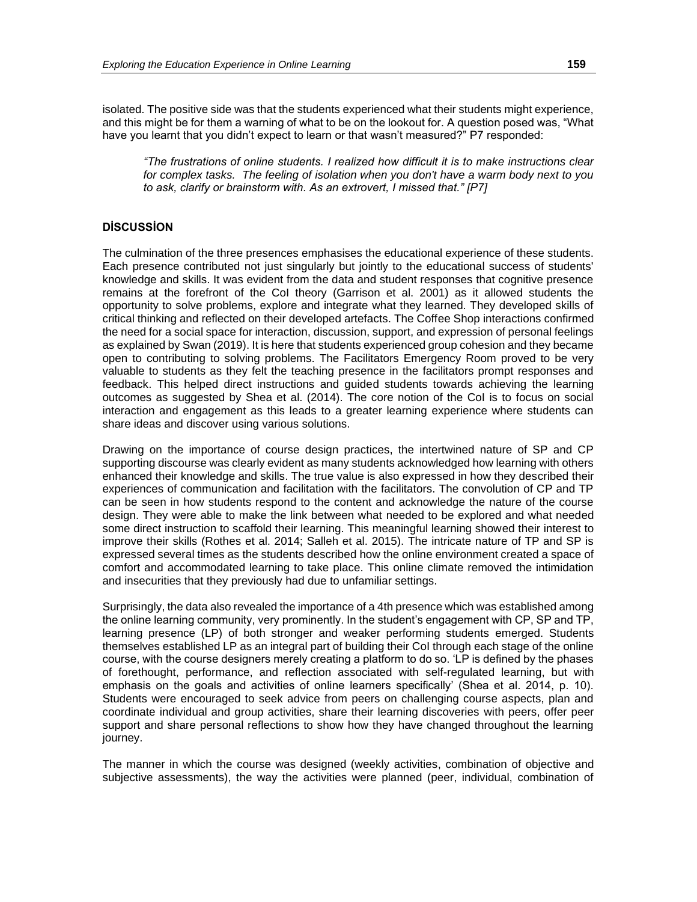isolated. The positive side was that the students experienced what their students might experience, and this might be for them a warning of what to be on the lookout for. A question posed was, "What have you learnt that you didn't expect to learn or that wasn't measured?" P7 responded:

*"The frustrations of online students. I realized how difficult it is to make instructions clear for complex tasks. The feeling of isolation when you don't have a warm body next to you to ask, clarify or brainstorm with. As an extrovert, I missed that." [P7]*

## **DİSCUSSİON**

The culmination of the three presences emphasises the educational experience of these students. Each presence contributed not just singularly but jointly to the educational success of students' knowledge and skills. It was evident from the data and student responses that cognitive presence remains at the forefront of the CoI theory (Garrison et al. 2001) as it allowed students the opportunity to solve problems, explore and integrate what they learned. They developed skills of critical thinking and reflected on their developed artefacts. The Coffee Shop interactions confirmed the need for a social space for interaction, discussion, support, and expression of personal feelings as explained by Swan (2019). It is here that students experienced group cohesion and they became open to contributing to solving problems. The Facilitators Emergency Room proved to be very valuable to students as they felt the teaching presence in the facilitators prompt responses and feedback. This helped direct instructions and guided students towards achieving the learning outcomes as suggested by Shea et al. (2014). The core notion of the CoI is to focus on social interaction and engagement as this leads to a greater learning experience where students can share ideas and discover using various solutions.

Drawing on the importance of course design practices, the intertwined nature of SP and CP supporting discourse was clearly evident as many students acknowledged how learning with others enhanced their knowledge and skills. The true value is also expressed in how they described their experiences of communication and facilitation with the facilitators. The convolution of CP and TP can be seen in how students respond to the content and acknowledge the nature of the course design. They were able to make the link between what needed to be explored and what needed some direct instruction to scaffold their learning. This meaningful learning showed their interest to improve their skills (Rothes et al. 2014; Salleh et al. 2015). The intricate nature of TP and SP is expressed several times as the students described how the online environment created a space of comfort and accommodated learning to take place. This online climate removed the intimidation and insecurities that they previously had due to unfamiliar settings.

Surprisingly, the data also revealed the importance of a 4th presence which was established among the online learning community, very prominently. In the student's engagement with CP, SP and TP, learning presence (LP) of both stronger and weaker performing students emerged. Students themselves established LP as an integral part of building their CoI through each stage of the online course, with the course designers merely creating a platform to do so. 'LP is defined by the phases of forethought, performance, and reflection associated with self-regulated learning, but with emphasis on the goals and activities of online learners specifically' (Shea et al. 2014, p. 10). Students were encouraged to seek advice from peers on challenging course aspects, plan and coordinate individual and group activities, share their learning discoveries with peers, offer peer support and share personal reflections to show how they have changed throughout the learning journey.

The manner in which the course was designed (weekly activities, combination of objective and subjective assessments), the way the activities were planned (peer, individual, combination of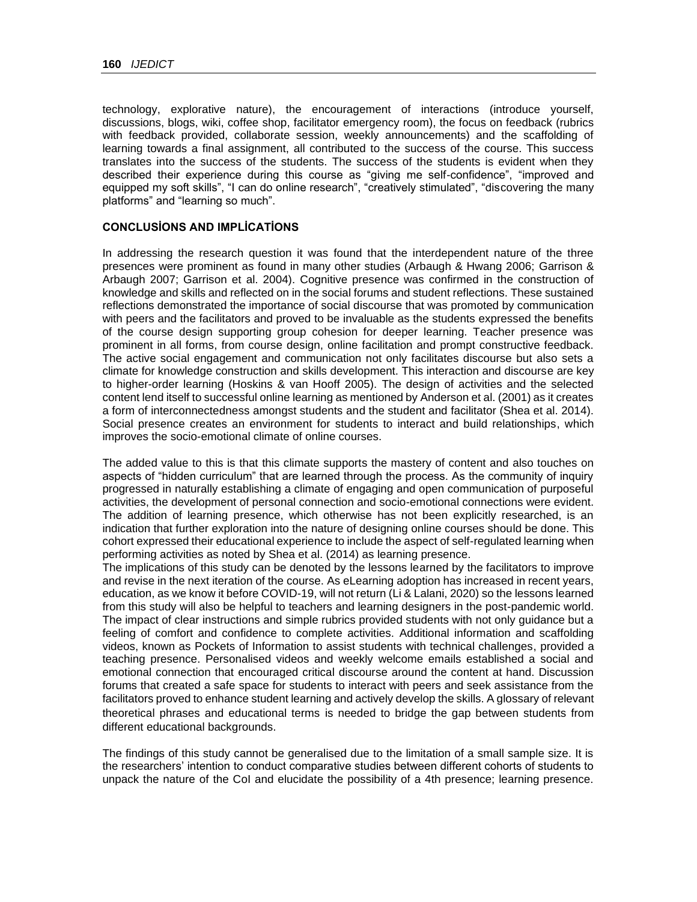technology, explorative nature), the encouragement of interactions (introduce yourself, discussions, blogs, wiki, coffee shop, facilitator emergency room), the focus on feedback (rubrics with feedback provided, collaborate session, weekly announcements) and the scaffolding of learning towards a final assignment, all contributed to the success of the course. This success translates into the success of the students. The success of the students is evident when they described their experience during this course as "giving me self-confidence", "improved and equipped my soft skills", "I can do online research", "creatively stimulated", "discovering the many platforms" and "learning so much".

### **CONCLUSİONS AND IMPLİCATİONS**

In addressing the research question it was found that the interdependent nature of the three presences were prominent as found in many other studies (Arbaugh & Hwang 2006; Garrison & Arbaugh 2007; Garrison et al. 2004). Cognitive presence was confirmed in the construction of knowledge and skills and reflected on in the social forums and student reflections. These sustained reflections demonstrated the importance of social discourse that was promoted by communication with peers and the facilitators and proved to be invaluable as the students expressed the benefits of the course design supporting group cohesion for deeper learning. Teacher presence was prominent in all forms, from course design, online facilitation and prompt constructive feedback. The active social engagement and communication not only facilitates discourse but also sets a climate for knowledge construction and skills development. This interaction and discourse are key to higher-order learning (Hoskins & van Hooff 2005). The design of activities and the selected content lend itself to successful online learning as mentioned by Anderson et al. (2001) as it creates a form of interconnectedness amongst students and the student and facilitator (Shea et al. 2014). Social presence creates an environment for students to interact and build relationships, which improves the socio-emotional climate of online courses.

The added value to this is that this climate supports the mastery of content and also touches on aspects of "hidden curriculum" that are learned through the process. As the community of inquiry progressed in naturally establishing a climate of engaging and open communication of purposeful activities, the development of personal connection and socio-emotional connections were evident. The addition of learning presence, which otherwise has not been explicitly researched, is an indication that further exploration into the nature of designing online courses should be done. This cohort expressed their educational experience to include the aspect of self-regulated learning when performing activities as noted by Shea et al. (2014) as learning presence.

The implications of this study can be denoted by the lessons learned by the facilitators to improve and revise in the next iteration of the course. As eLearning adoption has increased in recent years, education, as we know it before COVID-19, will not return (Li & Lalani, 2020) so the lessons learned from this study will also be helpful to teachers and learning designers in the post-pandemic world. The impact of clear instructions and simple rubrics provided students with not only guidance but a feeling of comfort and confidence to complete activities. Additional information and scaffolding videos, known as Pockets of Information to assist students with technical challenges, provided a teaching presence. Personalised videos and weekly welcome emails established a social and emotional connection that encouraged critical discourse around the content at hand. Discussion forums that created a safe space for students to interact with peers and seek assistance from the facilitators proved to enhance student learning and actively develop the skills. A glossary of relevant theoretical phrases and educational terms is needed to bridge the gap between students from different educational backgrounds.

The findings of this study cannot be generalised due to the limitation of a small sample size. It is the researchers' intention to conduct comparative studies between different cohorts of students to unpack the nature of the CoI and elucidate the possibility of a 4th presence; learning presence.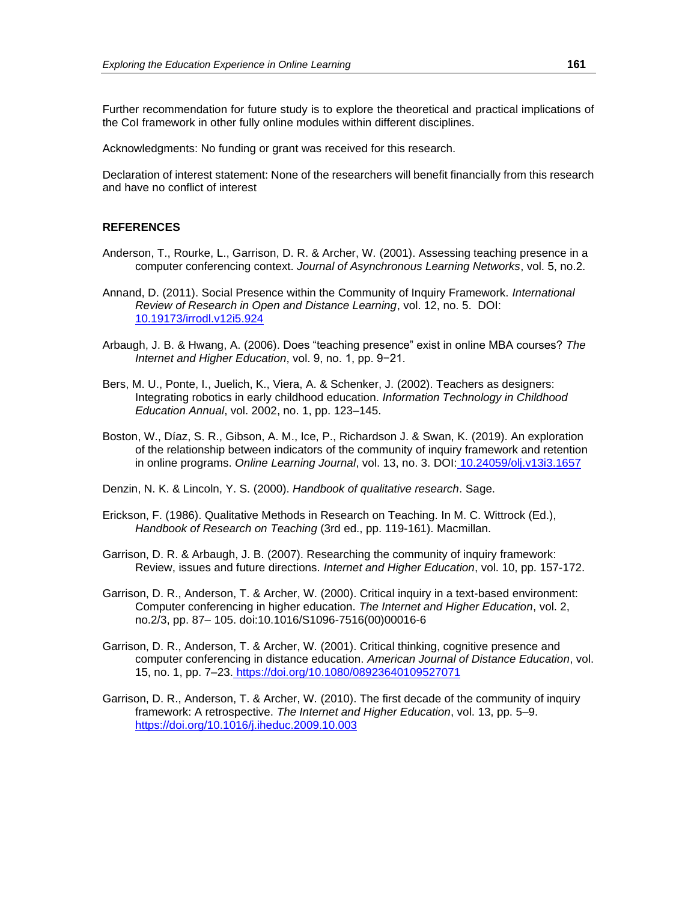Further recommendation for future study is to explore the theoretical and practical implications of the CoI framework in other fully online modules within different disciplines.

Acknowledgments: No funding or grant was received for this research.

Declaration of interest statement: None of the researchers will benefit financially from this research and have no conflict of interest

#### **REFERENCES**

- Anderson, T., Rourke, L., Garrison, D. R. & Archer, W. (2001). Assessing teaching presence in a computer conferencing context. *Journal of Asynchronous Learning Networks*, vol. 5, no.2.
- Annand, D. (2011). Social Presence within the Community of Inquiry Framework. *International Review of Research in Open and Distance Learning*, vol. 12, no. 5. DOI[:](https://www.researchgate.net/deref/http%3A%2F%2Fdx.doi.org%2F10.19173%2Firrodl.v12i5.924?_sg%5B0%5D=Akeuf_lQkomB_eWGmZJimLk8EoUT3gF_YPYOcL327uiN5nrtRZFatk7L9mdSrGRKi-aQ1cH4rnhQSlmJ0kGFkWI1qw.R54HWiIGH-RlXaT1VOlbsMQjLmjyZgrNzVvMigRDVShSVtJesG9PYX6A63sv1M-RMgZylRKMcl8Bkk_F29bqkA) [10.19173/irrodl.v12i5.924](https://www.researchgate.net/deref/http%3A%2F%2Fdx.doi.org%2F10.19173%2Firrodl.v12i5.924?_sg%5B0%5D=Akeuf_lQkomB_eWGmZJimLk8EoUT3gF_YPYOcL327uiN5nrtRZFatk7L9mdSrGRKi-aQ1cH4rnhQSlmJ0kGFkWI1qw.R54HWiIGH-RlXaT1VOlbsMQjLmjyZgrNzVvMigRDVShSVtJesG9PYX6A63sv1M-RMgZylRKMcl8Bkk_F29bqkA)
- Arbaugh, J. B. & Hwang, A. (2006). Does "teaching presence" exist in online MBA courses? *The Internet and Higher Education*, vol. 9, no. 1, pp. 9−21.
- Bers, M. U., Ponte, I., Juelich, K., Viera, A. & Schenker, J. (2002). Teachers as designers: Integrating robotics in early childhood education. *Information Technology in Childhood Education Annual*, vol. 2002, no. 1, pp. 123–145.
- Boston, W., Díaz, S. R., Gibson, A. M., Ice, P., Richardson J. & Swan, K. (2019). An exploration of the relationship between indicators of the community of inquiry framework and retention in online programs. *Online Learning Journal*, vol. 13, no. 3. DOI: [10.24059/olj.v13i3.1657](https://www.researchgate.net/deref/http%3A%2F%2Fdx.doi.org%2F10.24059%2Folj.v13i3.1657?_sg%5B0%5D=ZLlPfNpAHY1gpu7mfJuWUdtBLtqCKImmL3Bm3tx0MYbW82Y0kLqxutSqZl6YWALDWQJxCLgJySGBMDoZajebellcaw.30Iybre5F3_mETb5QGDE3CquEJeTgR6jsmZlCsVP9kCcP91YCH6q-FM93iM0dnJ6tkcEXoWz5i-UE3Xv9-yz3g)

Denzin, N. K. & Lincoln, Y. S. (2000). *Handbook of qualitative research*. Sage.

- Erickson, F. (1986). Qualitative Methods in Research on Teaching. In M. C. Wittrock (Ed.), *Handbook of Research on Teaching* (3rd ed., pp. 119-161). Macmillan.
- Garrison, D. R. & Arbaugh, J. B. (2007). Researching the community of inquiry framework: Review, issues and future directions. *Internet and Higher Education*, vol. 10, pp. 157-172.
- Garrison, D. R., Anderson, T. & Archer, W. (2000). Critical inquiry in a text-based environment: Computer conferencing in higher education. *The Internet and Higher Education*, vol. 2, no.2/3, pp. 87– 105. doi:10.1016/S1096-7516(00)00016-6
- Garrison, D. R., Anderson, T. & Archer, W. (2001). Critical thinking, cognitive presence and computer conferencing in distance education. *American Journal of Distance Education*, vol. 15, no. 1, pp. 7–23. <https://doi.org/10.1080/08923640109527071>
- Garrison, D. R., Anderson, T. & Archer, W. (2010). The first decade of the community of inquiry framework: A retrospective. *The Internet and Higher Education*, vol. 13, pp. 5–9. [https://doi.org/10.1016/j.iheduc.2009.10.003](https://doi-org.uplib.idm.oclc.org/10.1016/j.iheduc.2009.10.003)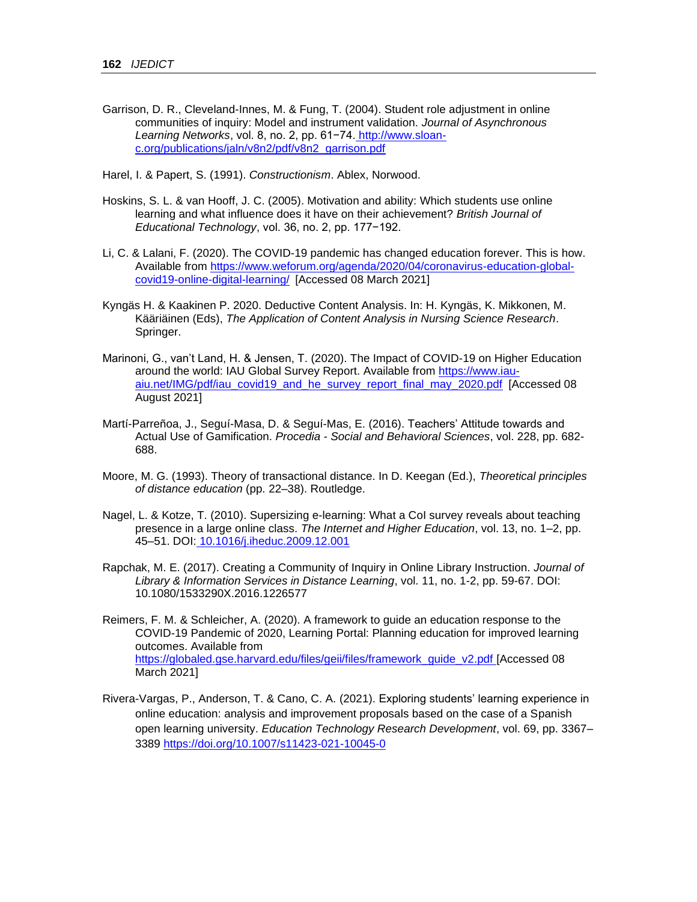Garrison, D. R., Cleveland-Innes, M. & Fung, T. (2004). Student role adjustment in online communities of inquiry: Model and instrument validation. *Journal of Asynchronous Learning Networks*, vol. 8, no. 2, pp. 61−74. [http://www.sloan](http://www.sloan-c.org/publications/jaln/v8n2/pdf/v8n2_garrison.pdf)[c.org/publications/jaln/v8n2/pdf/v8n2\\_garrison.pdf](http://www.sloan-c.org/publications/jaln/v8n2/pdf/v8n2_garrison.pdf)

Harel, I. & Papert, S. (1991). *Constructionism*. Ablex, Norwood.

- Hoskins, S. L. & van Hooff, J. C. (2005). Motivation and ability: Which students use online learning and what influence does it have on their achievement? *British Journal of Educational Technology*, vol. 36, no. 2, pp. 177−192.
- Li, C. & Lalani, F. (2020). The COVID-19 pandemic has changed education forever. This is how. Available from [https://www.weforum.org/agenda/2020/04/coronavirus-education-global](https://www.weforum.org/agenda/2020/04/coronavirus-education-global-covid19-online-digital-learning/)[covid19-online-digital-learning/](https://www.weforum.org/agenda/2020/04/coronavirus-education-global-covid19-online-digital-learning/) [Accessed 08 March 2021]
- Kyngäs H. & Kaakinen P. 2020. Deductive Content Analysis. In: H. Kyngäs, K. Mikkonen, M. Kääriäinen (Eds), *The Application of Content Analysis in Nursing Science Research*. Springer.
- Marinoni, G., van't Land, H. & Jensen, T. (2020). The Impact of COVID-19 on Higher Education around the world: IAU Global Survey Report. Available from [https://www.iau](https://www.iau-aiu.net/IMG/pdf/iau_covid19_and_he_survey_report_final_may_2020.pdf)[aiu.net/IMG/pdf/iau\\_covid19\\_and\\_he\\_survey\\_report\\_final\\_may\\_2020.pdf](https://www.iau-aiu.net/IMG/pdf/iau_covid19_and_he_survey_report_final_may_2020.pdf) [Accessed 08 August 2021]
- Martí-Parreñoa, J., Seguí-Masa, D. & Seguí-Mas, E. (2016). Teachers' Attitude towards and Actual Use of Gamification. *Procedia - Social and Behavioral Sciences*, vol. 228, pp. 682- 688.
- Moore, M. G. (1993). Theory of transactional distance. In D. Keegan (Ed.), *Theoretical principles of distance education* (pp. 22–38). Routledge.
- Nagel, L. & Kotze, T. (2010). Supersizing e-learning: What a CoI survey reveals about teaching presence in a large online class. *The Internet and Higher Education*, vol. 13, no. 1–2, pp. 45–51. DOI: [10.1016/j.iheduc.2009.12.001](https://www.researchgate.net/deref/http%3A%2F%2Fdx.doi.org%2F10.1016%2Fj.iheduc.2009.12.001?_sg%5B0%5D=WaHDDrzNAIp7GatjLrcuF0wWSQlX15ghpZ1djydiZVsFPv3GWRRy0zpTQlRpcb5whAmyTG-wvV-8WPWTHhPQyQHlkg.YbsE9dJ9Nt56jYRZiUonGCoRno8bChtQof_qXovsxw_6kbqVCbf9uUAXE2M573wNOb_hsHjRyPJqnGFLfufxAQ)
- Rapchak, M. E. (2017). Creating a Community of Inquiry in Online Library Instruction. *Journal of Library & Information Services in Distance Learning*, vol. 11, no. 1-2, pp. 59-67. DOI: 10.1080/1533290X.2016.1226577
- Reimers, F. M. & Schleicher, A. (2020). A framework to guide an education response to the COVID-19 Pandemic of 2020, Learning Portal: Planning education for improved learning outcomes. Available from [https://globaled.gse.harvard.edu/files/geii/files/framework\\_guide\\_v2.pdf](https://globaled.gse.harvard.edu/files/geii/files/framework_guide_v2.pdf) [Accessed 08 March 2021]
- Rivera-Vargas, P., Anderson, T. & Cano, C. A. (2021). Exploring students' learning experience in online education: analysis and improvement proposals based on the case of a Spanish open learning university. *Education Technology Research Development*, vol. 69, pp. 3367– 3389<https://doi.org/10.1007/s11423-021-10045-0>